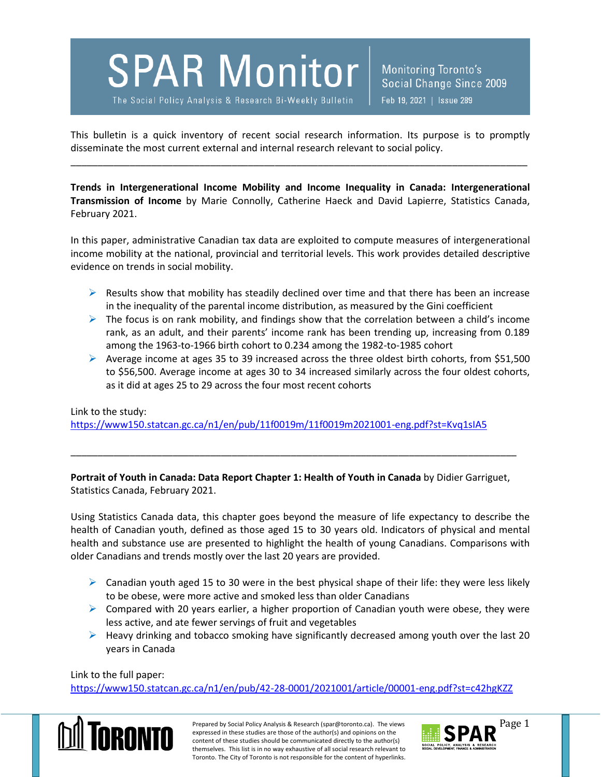## **SPAR Monitor**

The Social Policy Analysis & Research Bi-Weekly Bulletin

**Monitoring Toronto's** Social Change Since 2009 Feb 19, 2021 | Issue 289

This bulletin is a quick inventory of recent social research information. Its purpose is to promptly disseminate the most current external and internal research relevant to social policy.

\_\_\_\_\_\_\_\_\_\_\_\_\_\_\_\_\_\_\_\_\_\_\_\_\_\_\_\_\_\_\_\_\_\_\_\_\_\_\_\_\_\_\_\_\_\_\_\_\_\_\_\_\_\_\_\_\_\_\_\_\_\_\_\_\_\_\_\_\_\_\_\_\_\_\_\_\_\_\_\_\_\_\_\_\_

**Trends in Intergenerational Income Mobility and Income Inequality in Canada: Intergenerational Transmission of Income** by Marie Connolly, Catherine Haeck and David Lapierre, Statistics Canada, February 2021.

In this paper, administrative Canadian tax data are exploited to compute measures of intergenerational income mobility at the national, provincial and territorial levels. This work provides detailed descriptive evidence on trends in social mobility.

- $\triangleright$  Results show that mobility has steadily declined over time and that there has been an increase in the inequality of the parental income distribution, as measured by the Gini coefficient
- $\triangleright$  The focus is on rank mobility, and findings show that the correlation between a child's income rank, as an adult, and their parents' income rank has been trending up, increasing from 0.189 among the 1963-to-1966 birth cohort to 0.234 among the 1982-to-1985 cohort
- $\triangleright$  Average income at ages 35 to 39 increased across the three oldest birth cohorts, from \$51,500 to \$56,500. Average income at ages 30 to 34 increased similarly across the four oldest cohorts, as it did at ages 25 to 29 across the four most recent cohorts

Link to the study:

<https://www150.statcan.gc.ca/n1/en/pub/11f0019m/11f0019m2021001-eng.pdf?st=Kvq1sIA5>

**Portrait of Youth in Canada: Data Report Chapter 1: Health of Youth in Canada** by Didier Garriguet, Statistics Canada, February 2021.

\_\_\_\_\_\_\_\_\_\_\_\_\_\_\_\_\_\_\_\_\_\_\_\_\_\_\_\_\_\_\_\_\_\_\_\_\_\_\_\_\_\_\_\_\_\_\_\_\_\_\_\_\_\_\_\_\_\_\_\_\_\_\_\_\_\_\_\_\_\_\_\_\_\_\_\_\_\_\_\_\_\_\_

Using Statistics Canada data, this chapter goes beyond the measure of life expectancy to describe the health of Canadian youth, defined as those aged 15 to 30 years old. Indicators of physical and mental health and substance use are presented to highlight the health of young Canadians. Comparisons with older Canadians and trends mostly over the last 20 years are provided.

- $\triangleright$  Canadian youth aged 15 to 30 were in the best physical shape of their life: they were less likely to be obese, were more active and smoked less than older Canadians
- $\triangleright$  Compared with 20 years earlier, a higher proportion of Canadian youth were obese, they were less active, and ate fewer servings of fruit and vegetables
- $\triangleright$  Heavy drinking and tobacco smoking have significantly decreased among youth over the last 20 years in Canada

Link to the full paper:

<https://www150.statcan.gc.ca/n1/en/pub/42-28-0001/2021001/article/00001-eng.pdf?st=c42hgKZZ>



Prepared by Social Policy Analysis & Research (spar@toronto.ca). The views Page 1 expressed in these studies are those of the author(s) and opinions on the content of these studies should be communicated directly to the author(s) themselves. This list is in no way exhaustive of all social research relevant to Toronto. The City of Toronto is not responsible for the content of hyperlinks.

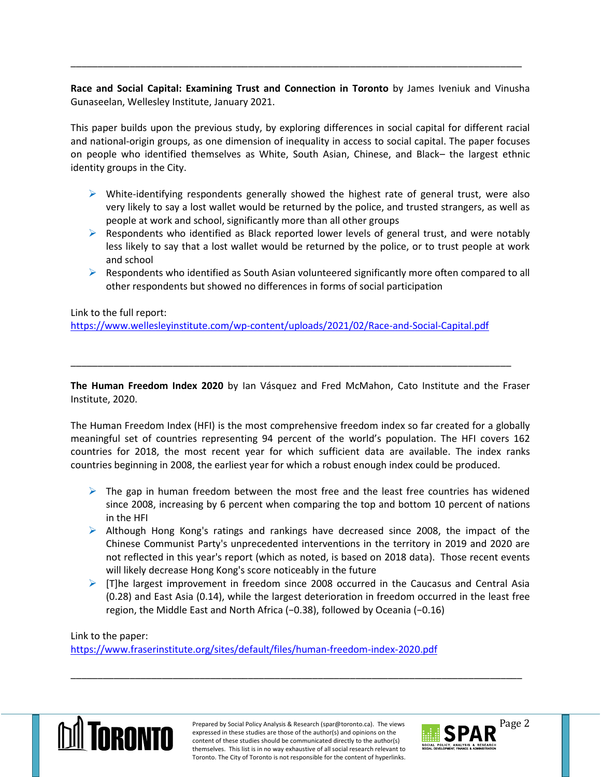**Race and Social Capital: Examining Trust and Connection in Toronto** by James Iveniuk and Vinusha Gunaseelan, Wellesley Institute, January 2021.

\_\_\_\_\_\_\_\_\_\_\_\_\_\_\_\_\_\_\_\_\_\_\_\_\_\_\_\_\_\_\_\_\_\_\_\_\_\_\_\_\_\_\_\_\_\_\_\_\_\_\_\_\_\_\_\_\_\_\_\_\_\_\_\_\_\_\_\_\_\_\_\_\_\_\_\_\_\_\_\_\_\_\_\_

This paper builds upon the previous study, by exploring differences in social capital for different racial and national-origin groups, as one dimension of inequality in access to social capital. The paper focuses on people who identified themselves as White, South Asian, Chinese, and Black– the largest ethnic identity groups in the City.

- $\triangleright$  White-identifying respondents generally showed the highest rate of general trust, were also very likely to say a lost wallet would be returned by the police, and trusted strangers, as well as people at work and school, significantly more than all other groups
- $\triangleright$  Respondents who identified as Black reported lower levels of general trust, and were notably less likely to say that a lost wallet would be returned by the police, or to trust people at work and school
- $\triangleright$  Respondents who identified as South Asian volunteered significantly more often compared to all other respondents but showed no differences in forms of social participation

Link to the full report:

<https://www.wellesleyinstitute.com/wp-content/uploads/2021/02/Race-and-Social-Capital.pdf>

**The Human Freedom Index 2020** by Ian Vásquez and Fred McMahon, Cato Institute and the Fraser Institute, 2020.

\_\_\_\_\_\_\_\_\_\_\_\_\_\_\_\_\_\_\_\_\_\_\_\_\_\_\_\_\_\_\_\_\_\_\_\_\_\_\_\_\_\_\_\_\_\_\_\_\_\_\_\_\_\_\_\_\_\_\_\_\_\_\_\_\_\_\_\_\_\_\_\_\_\_\_\_\_\_\_\_\_\_

The Human Freedom Index (HFI) is the most comprehensive freedom index so far created for a globally meaningful set of countries representing 94 percent of the world's population. The HFI covers 162 countries for 2018, the most recent year for which sufficient data are available. The index ranks countries beginning in 2008, the earliest year for which a robust enough index could be produced.

- $\triangleright$  The gap in human freedom between the most free and the least free countries has widened since 2008, increasing by 6 percent when comparing the top and bottom 10 percent of nations in the HFI
- $\triangleright$  Although Hong Kong's ratings and rankings have decreased since 2008, the impact of the Chinese Communist Party's unprecedented interventions in the territory in 2019 and 2020 are not reflected in this year's report (which as noted, is based on 2018 data). Those recent events will likely decrease Hong Kong's score noticeably in the future
- $\triangleright$  [T]he largest improvement in freedom since 2008 occurred in the Caucasus and Central Asia (0.28) and East Asia (0.14), while the largest deterioration in freedom occurred in the least free region, the Middle East and North Africa (−0.38), followed by Oceania (−0.16)

## Link to the paper:

<https://www.fraserinstitute.org/sites/default/files/human-freedom-index-2020.pdf>



Prepared by Social Policy Analysis & Research (spar@toronto.ca). The views Page 2 expressed in these studies are those of the author(s) and opinions on the content of these studies should be communicated directly to the author(s) themselves. This list is in no way exhaustive of all social research relevant to Toronto. The City of Toronto is not responsible for the content of hyperlinks.

\_\_\_\_\_\_\_\_\_\_\_\_\_\_\_\_\_\_\_\_\_\_\_\_\_\_\_\_\_\_\_\_\_\_\_\_\_\_\_\_\_\_\_\_\_\_\_\_\_\_\_\_\_\_\_\_\_\_\_\_\_\_\_\_\_\_\_\_\_\_\_\_\_\_\_\_\_\_\_\_\_\_\_\_